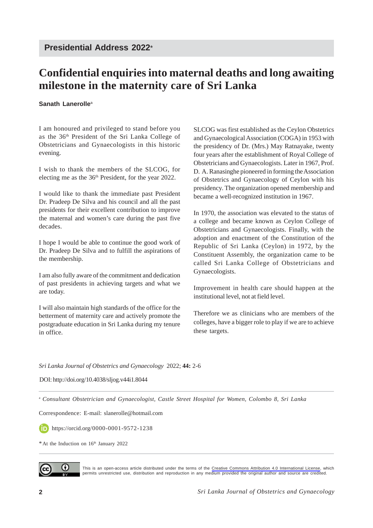## **Confidential enquiries into maternal deaths and long awaiting milestone in the maternity care of Sri Lanka**

## **Sanath Lanerolle**<sup>a</sup>

I am honoured and privileged to stand before you as the 36th President of the Sri Lanka College of Obstetricians and Gynaecologists in this historic evening.

I wish to thank the members of the SLCOG, for electing me as the 36th President, for the year 2022.

I would like to thank the immediate past President Dr. Pradeep De Silva and his council and all the past presidents for their excellent contribution to improve the maternal and women's care during the past five decades.

I hope I would be able to continue the good work of Dr. Pradeep De Silva and to fulfill the aspirations of the membership.

I am also fully aware of the commitment and dedication of past presidents in achieving targets and what we are today.

I will also maintain high standards of the office for the betterment of maternity care and actively promote the postgraduate education in Sri Lanka during my tenure in office.

SLCOG was first established as the Ceylon Obstetrics and Gynaecological Association (COGA) in 1953 with the presidency of Dr. (Mrs.) May Ratnayake, twenty four years after the establishment of Royal College of Obstetricians and Gynaecologists. Later in 1967, Prof. D. A. Ranasinghe pioneered in forming the Association of Obstetrics and Gynaecology of Ceylon with his presidency. The organization opened membership and became a well-recognized institution in 1967.

In 1970, the association was elevated to the status of a college and became known as Ceylon College of Obstetricians and Gynaecologists. Finally, with the adoption and enactment of the Constitution of the Republic of Sri Lanka (Ceylon) in 1972, by the Constituent Assembly, the organization came to be called Sri Lanka College of Obstetricians and Gynaecologists.

Improvement in health care should happen at the institutional level, not at field level.

Therefore we as clinicians who are members of the colleges, have a bigger role to play if we are to achieve these targets.

*Sri Lanka Journal of Obstetrics and Gynaecology* 2022; **44:** 2-6

DOI: http://doi.org/10.4038/sljog.v44i1.8044

<sup>a</sup> *Consultant Obstetrician and Gynaecologist, Castle Street Hospital for Women, Colombo 8, Sri Lanka*

Correspondence: E-mail: slanerolle@hotmail.com

https://orcid.org/0000-0001-9572-1238

 $*$  At the Induction on  $16<sup>th</sup>$  January 2022



This is an open-access article distributed under the terms of the [Creative Commons Attribution 4.0 International License,](https://creativecommons.org/licenses/by/4.0/) which permits unrestricted use, distribution and reproduction in any medium provided the original author and source are credited.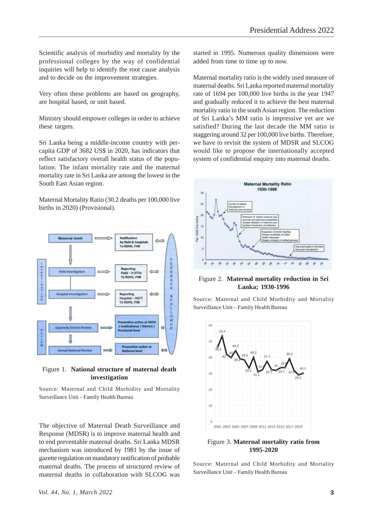Scientific analysis of morbidity and mortality by the professional colleges by the way of confidential inquiries will help to identify the root cause analysis and to decide on the improvement strategies.

Very often these problems are based on geography, are hospital based, or unit based.

Ministry should empower colleges in order to achieve these targets.

Sri Lanka being a middle-income country with percapita GDP of 3682 US\$ in 2020, has indicators that reflect satisfactory overall health status of the population. The infant mortality rate and the maternal mortality rate in Sri Lanka are among the lowest in the South East Asian region.

Maternal Mortality Ratio (30.2 deaths per 100,000 live births in 2020) (Provisional).



Figure 1. **National structure of maternal death investigation**

Source: Maternal and Child Morbidity and Mortality Surveillance Unit – Family Health Bureau

The objective of Maternal Death Surveillance and Response (MDSR) is to improve maternal health and to end preventable maternal deaths. Sri Lanka MDSR mechanism was introduced by 1981 by the issue of gazette regulation on mandatory notification of probable maternal deaths. The process of structured review of maternal deaths in collaboration with SLCOG was

started in 1995. Numerous quality dimensions were added from time to time up to now.

Maternal mortality ratio is the widely used measure of maternal deaths. Sri Lanka reported maternal mortality rate of 1694 per 100,000 live births in the year 1947 and gradually reduced it to achieve the best maternal mortality ratio in the south Asian region. The reduction of Sri Lanka's MM ratio is impressive yet are we satisfied? During the last decade the MM ratio is staggering around 32 per 100,000 live births. Therefore, we have to revisit the system of MDSR and SLCOG would like to propose the internationally accepted system of confidential enquiry into maternal deaths.



Figure 2. **Maternal mortality reduction in Sri Lanka; 1930-1996**

Source: Maternal and Child Morbidity and Mortality Surveillance Unit – Family Health Bureau



Figure 3. **Maternal mortality ratio from 1995-2020**

Source: Maternal and Child Morbidity and Mortality Surveillance Unit – Family Health Bureau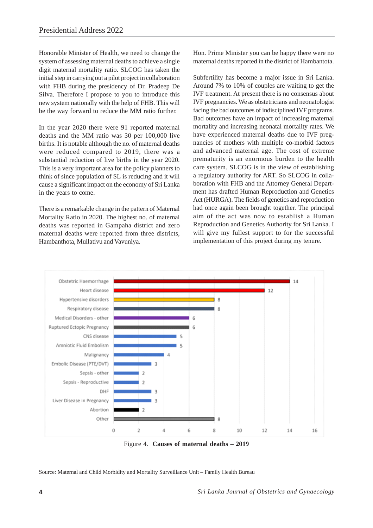Honorable Minister of Health, we need to change the system of assessing maternal deaths to achieve a single digit maternal mortality ratio. SLCOG has taken the initial step in carrying out a pilot project in collaboration with FHB during the presidency of Dr. Pradeep De Silva. Therefore I propose to you to introduce this new system nationally with the help of FHB. This will be the way forward to reduce the MM ratio further.

In the year 2020 there were 91 reported maternal deaths and the MM ratio was 30 per 100,000 live births. It is notable although the no. of maternal deaths were reduced compared to 2019, there was a substantial reduction of live births in the year 2020. This is a very important area for the policy planners to think of since population of SL is reducing and it will cause a significant impact on the economy of Sri Lanka in the years to come.

There is a remarkable change in the pattern of Maternal Mortality Ratio in 2020. The highest no. of maternal deaths was reported in Gampaha district and zero maternal deaths were reported from three districts, Hambanthota, Mullativu and Vavuniya.

Hon. Prime Minister you can be happy there were no maternal deaths reported in the district of Hambantota.

Subfertility has become a major issue in Sri Lanka. Around 7% to 10% of couples are waiting to get the IVF treatment. At present there is no consensus about IVF pregnancies. We as obstetricians and neonatologist facing the bad outcomes of indisciplined IVF programs. Bad outcomes have an impact of increasing maternal mortality and increasing neonatal mortality rates. We have experienced maternal deaths due to IVF pregnancies of mothers with multiple co-morbid factors and advanced maternal age. The cost of extreme prematurity is an enormous burden to the health care system. SLCOG is in the view of establishing a regulatory authority for ART. So SLCOG in collaboration with FHB and the Attorney General Department has drafted Human Reproduction and Genetics Act (HURGA). The fields of genetics and reproduction had once again been brought together. The principal aim of the act was now to establish a Human Reproduction and Genetics Authority for Sri Lanka. I will give my fullest support to for the successful implementation of this project during my tenure.



Figure 4. **Causes of maternal deaths – 2019**

Source: Maternal and Child Morbidity and Mortality Surveillance Unit – Family Health Bureau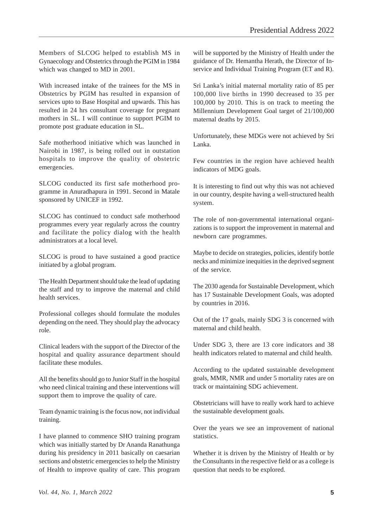Members of SLCOG helped to establish MS in Gynaecology and Obstetrics through the PGIM in 1984 which was changed to MD in 2001.

With increased intake of the trainees for the MS in Obstetrics by PGIM has resulted in expansion of services upto to Base Hospital and upwards. This has resulted in 24 hrs consultant coverage for pregnant mothers in SL. I will continue to support PGIM to promote post graduate education in SL.

Safe motherhood initiative which was launched in Nairobi in 1987, is being rolled out in outstation hospitals to improve the quality of obstetric emergencies.

SLCOG conducted its first safe motherhood programme in Anuradhapura in 1991. Second in Matale sponsored by UNICEF in 1992.

SLCOG has continued to conduct safe motherhood programmes every year regularly across the country and facilitate the policy dialog with the health administrators at a local level.

SLCOG is proud to have sustained a good practice initiated by a global program.

The Health Department should take the lead of updating the staff and try to improve the maternal and child health services.

Professional colleges should formulate the modules depending on the need. They should play the advocacy role.

Clinical leaders with the support of the Director of the hospital and quality assurance department should facilitate these modules.

All the benefits should go to Junior Staff in the hospital who need clinical training and these interventions will support them to improve the quality of care.

Team dynamic training is the focus now, not individual training.

I have planned to commence SHO training program which was initially started by Dr Ananda Ranathunga during his presidency in 2011 basically on caesarian sections and obstetric emergencies to help the Ministry of Health to improve quality of care. This program

will be supported by the Ministry of Health under the guidance of Dr. Hemantha Herath, the Director of Inservice and Individual Training Program (ET and R).

Sri Lanka's initial maternal mortality ratio of 85 per 100,000 live births in 1990 decreased to 35 per 100,000 by 2010. This is on track to meeting the Millennium Development Goal target of 21/100,000 maternal deaths by 2015.

Unfortunately, these MDGs were not achieved by Sri Lanka.

Few countries in the region have achieved health indicators of MDG goals.

It is interesting to find out why this was not achieved in our country, despite having a well-structured health system.

The role of non-governmental international organizations is to support the improvement in maternal and newborn care programmes.

Maybe to decide on strategies, policies, identify bottle necks and minimize inequities in the deprived segment of the service.

The 2030 agenda for Sustainable Development, which has 17 Sustainable Development Goals, was adopted by countries in 2016.

Out of the 17 goals, mainly SDG 3 is concerned with maternal and child health.

Under SDG 3, there are 13 core indicators and 38 health indicators related to maternal and child health.

According to the updated sustainable development goals, MMR, NMR and under 5 mortality rates are on track or maintaining SDG achievement.

Obstetricians will have to really work hard to achieve the sustainable development goals.

Over the years we see an improvement of national statistics.

Whether it is driven by the Ministry of Health or by the Consultants in the respective field or as a college is question that needs to be explored.